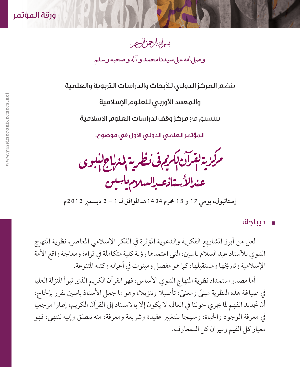

## بساللهالجزالجم

## وصلى الله على سيدنا محمد و آله وصحبه وسلم

ينظم المركز الدولي لألبحاث والدراسات التربوية والعلمية

والمعهد الأوربي للعلوم الإسلامية

بتنسيق مع مركز وقف لدراسات العلوم الإسلامية

المؤتمر العلمي الدولي الأول في موضوع:

مركزية لقرآن لكريم في نظرية لنهاج لنبوى عندالأستاذعىدالسلام ياسين

**إستانبول، يومي 17 و 18 حمرم 1434هـ املوافق لـ 1 - 2 ديسمرب 2012م** 

ديباجة:

لعل من أبرز المشاريع الفكرية والدعوية المؤثرة في الفكر الإسلامي المعاصر، نظرية المنهاج النبوي للأستاذ عبد السلام ياسين، التي اعتمدها رؤية كلية متكاملة في قراءة ومعالجة واقع الأمة الإسلامية وتاريخها ومستقبلها، كما هو مفصل ومبثوث في أعماله وكتبه المتنوعة.

أما مصدر استمداد نظرية المنهاج النبوي الأساس، فهو القرآن الكريم الذي تبوأ المنزلة العليا ً يف صياغة هذه النظرية مبنى ً ومعنى، تأصيال وتنزيال، وهو ما جعل األستاذ ياسني يقرر بإحلاح، أن تجديد الفهم لما يجري حولنا في العالم، لا يكون إلا بالاستناد إلى القرآن الكريم، إطارا مرجعيا يف معرفة الوجود واحلياة، ومنهجا للتغيري عقيدة ورشيعة ومعرفة، منه ننطلق وإليه ننتهي، فهو معيار كل القيم وميزان كل الـمعارف.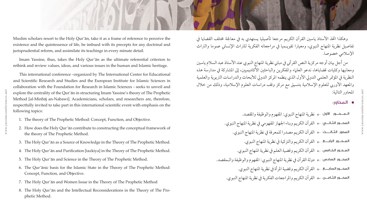

Muslim scholars resort to the Holy Qur'ān, take it as a frame of reference to perceive the existence and the quintessence of life, be imbued with its precepts for any doctrinal and jurisprudential reform, and assimilate its teachings in every minute detail.

Imam Yassine, thus, takes the Holy Qur'an as the ultimate referential criterion to rethink and review values, ideas, and various issues in the human and Islamic heritage.

This international conference –organized by The International Center for Educational and Scientific Research and Studies and the European Institute for Islamic Sciences in collaboration with the Foundation for Research in Islamic Sciences - seeks to unveil and explore the centrality of the Qur'an in structuring Imam Yassine's theory of The Prophetic Method [al-Minhāj an-Nabawi]. Academicians, scholars, and researchers are, therefore, respectfully invited to take part in this international scientific event with emphasis on the following topics:

- 1. The theory of The Prophetic Method: Concept, Function, and Objective.
- 2. How does the Holy Qur'an contribute to constructing the conceptual framework of the theory of The Prophetic Method.
- 3. The Holy Qur'an as a Source of Knowledge in the Theory of The Prophetic Method.
- 4. The Holy Qur'an and Purification [tazkiya] in the Theory of The Prophetic Method.
- 5. The Holy Qur'an and Science in the Theory of The Prophetic Method.
- 6. The Qur'anic basis for the Islamic State in the Theory of The Prophetic Method: Concept, Function, and Objective.
- 7. The Holy Qur'an and Women Issue in the Theory of The Prophetic Method
- 8. The Holy Qur'ān and the Intellectual Reconsiderations in the Theory of The Prophetic Method.

وهكذا اتخذ الأستاذ ياسين القرآن الكريم مرجعا تأصيليا يستهدي به في معالجة مختلف القضايا في تفاصيل نظرية المنهاج النبوي، ومعيارا تقويـميا في مراجعاته الفكرية للتراث الإنساني عموما والتراث



من أجل بيان أوجه مركزية النص القرآني في مباني نظرية المنهاج النبوي عند الأستاذ عبد السلام ياسين ومعانيها وكليات قضاياها، ندعو العلماء والمفكرين والباحثين الأكاديميين، إلى المشاركة في مدارسة هذه النظرية في المؤتمر العلمي الدولي الأول الذي ينظمه المركز الدولي للأبحاث والدراسات التربوية والعلمية والمعهد الأوربي للعلوم الإسلامية بتنسيق مع مركز وقف دراسات العلوم الإسلامية، وذلك من خلال املحاور التالية:

> هوم والوظيفة والمقصد. از المفهومي في نظرية المنهاج النبوي. معرفة في نظرية المنهاج النبوي. ب نظرية المنهاج النبوي. لم في نظرية المنهاج النبوي. باج النبوي: المفهوم والوظيفة والـمقصد. أة في نظرية المنهاج النبوي. ت الفكرية في نظرية المنهاج النبوي.

المحاور:

| المحـــور الثــانــــي ـــــ القرآن الكريم وبناء الجها |
|--------------------------------------------------------|
| المحور الثـالــــث ← القرآن الكريم مصدرا للد           |
| الصـدـــور الـرابــــع ــــ القرآن الكريم والتزكية في  |
| الصـدـور الــفــاٯـس ـــه القرآن الكريم وقضية العـ     |
| المحـــور السادس ــــ دولة القرآن في نظرية المنه       |
|                                                        |
| المحـــور الثــاصـــن ــــ القر آن الكريـم والمراجعان  |